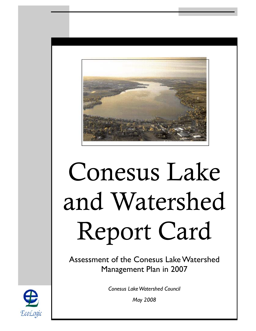

# Conesus Lake and Watershed Report Card

Assessment of the Conesus Lake Watershed Management Plan in 2007

*Conesus Lake Watershed Council* 

*May 2008* 

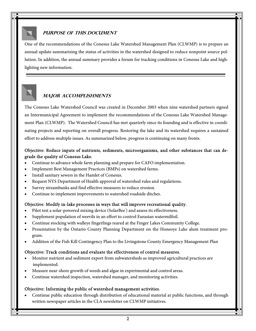### **PURPOSE OF THIS DOCUMENT**

One of the recommendations of the Conesus Lake Watershed Management Plan (CLWMP) is to prepare an annual update summarizing the status of activities in the watershed designed to reduce nonpoint source pollution. In addition, the annual summary provides a forum for tracking conditions in Conesus Lake and highlighting new information.

# **Major accomplishments**

The Conesus Lake Watershed Council was created in December 2003 when nine watershed partners signed an Intermunicipal Agreement to implement the recommendations of the Conesus Lake Watershed Management Plan (CLWMP). The Watershed Council has met quarterly since its founding and is effective in coordinating projects and reporting on overall progress. Restoring the lake and its watershed requires a sustained effort to address multiple issues. As summarized below, progress is continuing on many fronts.

## Objective: Reduce inputs of nutrients, sediments, microorganisms, and other substances that can degrade the quality of Conesus Lake.

- Continue to advance whole farm planning and prepare for CAFO implementation.
- Implement Best Management Practices (BMPs) on watershed farms.
- Install sanitary sewers in the Hamlet of Conesus.
- Request NYS Department of Health approval of watershed rules and regulations.
- Survey streambanks and find effective measures to reduce erosion.
- Continue to implement improvements to watershed roadside ditches.

#### Objective: Modify in-lake processes in ways that will improve recreational quality.

- Pilot test a solar-powered mixing device (SolarBee<sup>\*</sup>) and assess its effectiveness.
- Supplement population of weevils in an effort to control Eurasian watermilfoil.
- Continue stocking with walleye fingerlings reared at the Finger Lakes Community College.
- Presentation by the Ontario County Planning Department on the Honeoye Lake alum treatment program.
- Addition of the Fish Kill Contingency Plan to the Livingstone County Emergency Management Plan

#### Objective: Track conditions and evaluate the effectiveness of control measures.

- Monitor nutrient and sediment export from subwatersheds as improved agricultural practices are implemented.
- Measure near-shore growth of weeds and algae in experimental and control areas.
- Continue watershed inspection, watershed manager, and monitoring activities.

#### Objective: Informing the public of watershed management activities.

• Continue public education through distribution of educational material at public functions, and through written newspaper articles in the CLA newsletter on CLWMP initiatives.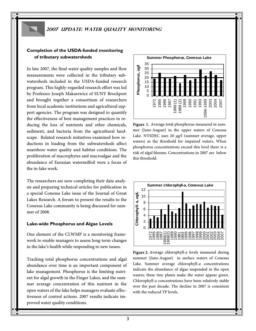#### **2007 Update: water quality monitoring**

#### **Completion of the USDA-funded monitoring of tributary subwatersheds**

In late 2007, the final water quality samples and flow measurements were collected in the tributary subwatersheds included in the USDA-funded research program. This highly-regarded research effort was led by Professor Joseph Makarewicz of SUNY Brockport and brought together a consortium of researchers from local academic institutions and agricultural support agencies. The program was designed to quantify the effectiveness of best management practices in reducing the loss of nutrients and other chemicals, sediment, and bacteria from the agricultural landscape. Related research initiatives examined how reductions in loading from the subwatersheds affect nearshore water quality and habitat conditions. The proliferation of macrophytes and macroalgae and the abundance of Eurasian watermilfoil were a focus of the in-lake work.

The researchers are now completing their data analysis and preparing technical articles for publication in a special Conesus Lake issue of the Journal of Great Lakes Research. A forum to present the results to the Conesus Lake community is being discussed for summer of 2008.

#### **Lake-wide Phosphorus and Algae Levels**

One element of the CLWMP is a monitoring framework to enable managers to assess long-term changes in the lake's health while responding to new issues.

Tracking total phosphorus concentrations and algal abundance over time is an important component of lake management. Phosphorus is the limiting nutrient for algal growth in the Finger Lakes, and the summer average concentration of this nutrient in the open waters of the lake helps managers evaluate effectiveness of control actions. 2007 results indicate improved water quality conditions.



Figure 1. Average total phosphorus measured in summer (June-August) in the upper waters of Conesus Lake. NYSDEC uses 20 µg/l (summer average, upper waters) as the threshold for impaired waters. When phosphorus concentrations exceed this level there is a risk of algal blooms. Concentrations in 2007 are below this threshold.



Figure 2. Average chlorophyll-*a* levels measured during summer (June-August) in surface waters of Conesus Lake. Summer average chlorophyll-*a* concentrations indicate the abundance of algae suspended in the open waters; these tiny plants make the water appear green. Chlorophyll-a concentrations have been relatively stable over the past decade. The decline in 2007 is consistent with the reduced TP levels.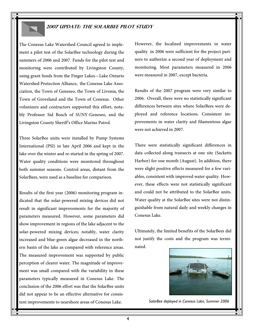## **2007 Update: THE SolarBee Pilot Study**

The Conesus Lake Watershed Council agreed to implement a pilot test of the SolarBee technology during the summers of 2006 and 2007. Funds for the pilot test and monitoring were contributed by Livingston County, using grant funds from the Finger Lakes—Lake Ontario Watershed Protection Alliance, the Conesus Lake Association, the Town of Geneseo, the Town of Livonia, the Town of Groveland and the Town of Conesus. Other volunteers and contractors supported this effort, notably Professor Sid Bosch of SUNY-Geneseo, and the Livingston County Sheriff's Office Marine Patrol.

Three SolarBee units were installed by Pump Systems International (PSI) in late April 2006 and kept in the lake over the winter and re-started in the spring of 2007. Water quality conditions were monitored throughout both summer seasons. Control areas, distant from the SolarBees, were used as a baseline for comparison.

Results of the first year (2006) monitoring program indicated that the solar-powered mixing devices did not result in significant improvements for the majority of parameters measured. However, some parameters did show improvement in regions of the lake adjacent to the solar-powered mixing devices; notably, water clarity increased and blue-green algae decreased in the northern basin of the lake as compared with reference areas. The measured improvement was supported by public perception of clearer water. The magnitude of improvement was small compared with the variability in these parameters typically measured in Conesus Lake. The conclusion of the 2006 effort was that the SolarBee units did not appear to be an effective alternative for consistent improvements to nearshore areas of Conesus Lake.

However, the localized improvements in water quality in 2006 were sufficient for the project partners to authorize a second year of deployment and monitoring. Most parameters measured in 2006 were measured in 2007, except bacteria.

Results of the 2007 program were very similar to 2006. Overall, there were no statistically significant differences between sites where SolarBees were deployed and reference locations. Consistent improvements in water clarity and filamentous algae were not achieved in 2007.

There were statistically significant differences in data collected along transects at one site (Sacketts Harbor) for one month (August). In addition, there were slight positive effects measured for a few variables, consistent with improved water quality. However, these effects were not statistically significant and could not be attributed to the SolarBee units. Water quality at the SolarBee sites were not distinguishable from natural daily and weekly changes in Conesus Lake.

Ultimately, the limited benefits of the SolarBees did not justify the costs and the program was terminated.



*SolarBee deployed in Conesus Lake, Summer 2006*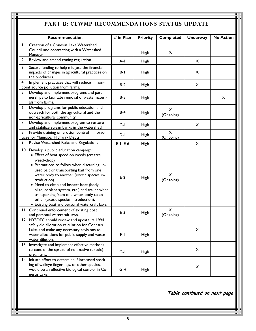# PART B: CLWMP RECOMMENDATIONS STATUS UPDATE

|              | Recommendation                                                                                                                                                                                                                                                                                                                                                                                                                                                                            | # in Plan     | <b>Priority</b> | <b>Completed</b>      | <b>Underway</b> | <b>No Action</b> |
|--------------|-------------------------------------------------------------------------------------------------------------------------------------------------------------------------------------------------------------------------------------------------------------------------------------------------------------------------------------------------------------------------------------------------------------------------------------------------------------------------------------------|---------------|-----------------|-----------------------|-----------------|------------------|
|              | Creation of a Conesus Lake Watershed                                                                                                                                                                                                                                                                                                                                                                                                                                                      |               |                 |                       |                 |                  |
| $\mathbf{L}$ | Council and contracting with a Watershed<br><b>Manager</b>                                                                                                                                                                                                                                                                                                                                                                                                                                |               | <b>High</b>     | $\pmb{\times}$        |                 |                  |
| 2.           | Review and amend zoning regulation                                                                                                                                                                                                                                                                                                                                                                                                                                                        | $A-I$         | <b>High</b>     |                       | X               |                  |
| 3.           | Secure funding to help mitigate the financial<br>impacts of changes in agricultural practices on<br>the producers.                                                                                                                                                                                                                                                                                                                                                                        | $B-I$         | <b>High</b>     |                       | X               |                  |
| 4.           | Implement practices that will reduce<br>non-<br>point source pollution from farms.                                                                                                                                                                                                                                                                                                                                                                                                        | $B-2$         | <b>High</b>     |                       | X               |                  |
|              | 5. Develop and implement programs and part-<br>nerships to facilitate removal of waste materi-<br>als from farms.                                                                                                                                                                                                                                                                                                                                                                         | $B-3$         | <b>High</b>     |                       |                 | X                |
| 6.           | Develop programs for public education and<br>outreach for both the agricultural and the<br>non-agricultural community.                                                                                                                                                                                                                                                                                                                                                                    | $B-4$         | <b>High</b>     | X<br>(Ongoing)        |                 |                  |
|              | 7. Develop and implement program to restore<br>and stabilize streambanks in the watershed.                                                                                                                                                                                                                                                                                                                                                                                                | $C-I$         | <b>High</b>     |                       | X               |                  |
| 8.           | Provide training on erosion control<br>prac-<br>tices for Municipal Highway Depts.                                                                                                                                                                                                                                                                                                                                                                                                        | $D-I$         | <b>High</b>     | $\times$<br>(Ongoing) |                 |                  |
|              | 9. Revise Watershed Rules and Regulations                                                                                                                                                                                                                                                                                                                                                                                                                                                 | $E-I$ , $E-6$ | <b>High</b>     |                       | X               |                  |
|              | 10. Develop a public education campaign:<br>• Effect of boat speed on weeds (creates<br>weed-chop)<br>• Precautions to follow when discarding un-<br>used bait or transporting bait from one<br>water body to another (exotic species in-<br>troduction).<br>• Need to clean and inspect boat (body,<br>bilge, coolant system, etc.) and trailer when<br>transporting from one water body to an-<br>other (exotic species introduction).<br>• Existing boat and personal watercraft laws. | $E-2$         | <b>High</b>     | X<br>(Ongoing)        |                 |                  |
|              | 11. Continued enforcement of existing boat<br>and personal watercraft laws.                                                                                                                                                                                                                                                                                                                                                                                                               | $E-3$         | <b>High</b>     | $\times$<br>(Ongoing) |                 |                  |
|              | 12. NYSDEC should review and update its 1994<br>safe yield allocation calculation for Conesus<br>Lake, and make any necessary revisions to<br>water allocations for public supply and waste-<br>water dilution.                                                                                                                                                                                                                                                                           | $F-I$         | <b>High</b>     |                       | $\times$        |                  |
|              | 13. Investigate and implement effective methods<br>to control the spread of non-native (exotic)<br>organisms.                                                                                                                                                                                                                                                                                                                                                                             | $G-I$         | <b>High</b>     |                       | X               |                  |
|              | 14. Initiate effort to determine if increased stock-<br>ing of walleye fingerlings, or other species,<br>would be an effective biological control in Co-<br>nesus Lake.                                                                                                                                                                                                                                                                                                                   | $G-4$         | High            |                       | X               |                  |

**Table continued on next page**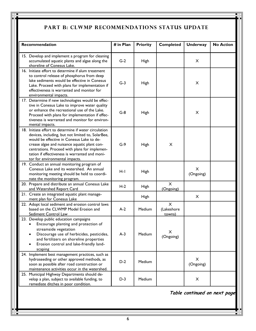# PART B: CLWMP RECOMMENDATIONS STATUS UPDATE

| Recommendation                                                                                                                                                                                                                                                                                                                               | # in Plan | <b>Priority</b> | <b>Completed</b>                 | <b>Underway</b> | <b>No Action</b> |
|----------------------------------------------------------------------------------------------------------------------------------------------------------------------------------------------------------------------------------------------------------------------------------------------------------------------------------------------|-----------|-----------------|----------------------------------|-----------------|------------------|
| 15. Develop and implement a program for cleaning<br>accumulated aquatic plants and algae along the<br>shoreline of Conesus Lake.                                                                                                                                                                                                             | $G-2$     | <b>High</b>     |                                  | X               |                  |
| 16. Initiate effort to determine if alum treatment<br>to control release of phosphorus from deep<br>lake sediments would be effective in Conesus<br>Lake. Proceed with plans for implementation if<br>effectiveness is warranted and monitor for<br>environmental impacts.                                                                   | $G-3$     | <b>High</b>     |                                  | X               |                  |
| 17. Determine if new technologies would be effec-<br>tive in Conesus Lake to improve water quality<br>or enhance the recreational use of the Lake.<br>Proceed with plans for implementation if effec-<br>tiveness is warranted and monitor for environ-<br>mental impacts.                                                                   | $G-8$     | <b>High</b>     |                                  | X               |                  |
| 18. Initiate effort to determine if water circulation<br>devices, including, but not limited to, SolarBee,<br>would be effective in Conesus Lake to de-<br>crease algae and nuisance aquatic plant con-<br>centrations. Proceed with plans for implemen-<br>tation if effectiveness is warranted and moni-<br>tor for environmental impacts. | $G-9$     | High            | X                                |                 |                  |
| 19. Conduct an annual monitoring program of<br>Conesus Lake and its watershed. An annual<br>monitoring meeting should be held to coordi-<br>nate the monitoring program.                                                                                                                                                                     | $H-I$     | <b>High</b>     |                                  | X<br>(Ongoing)  |                  |
| 20. Prepare and distribute an annual Conesus Lake<br>and Watershed Report Card                                                                                                                                                                                                                                                               | $H-2$     | <b>High</b>     | X<br>(Ongoing)                   |                 |                  |
| 21. Create an integrated aquatic plant manage-<br>ment plan for Conesus Lake                                                                                                                                                                                                                                                                 |           | <b>High</b>     |                                  | X               |                  |
| 22. Adopt local sediment and erosion control laws<br>based on the CLWMP Model Erosion and<br>Sediment Control Law                                                                                                                                                                                                                            | $A-2$     | Medium          | $\times$<br>(Lakeshore<br>towns) |                 |                  |
| 23. Develop public education campaigns<br>• Encourage planting and protection of<br>streamside vegetation<br>Discourage use of herbicides, pesticides,<br>and fertilizers on shoreline properties<br>Erosion control and lake-friendly land-<br>scaping                                                                                      | $A-3$     | Medium          | X<br>(Ongoing)                   |                 |                  |
| 24. Implement best management practices, such as<br>hydroseeding or other approved methods, as<br>soon as possible after road construction or<br>maintenance activities occur in the watershed.                                                                                                                                              | $D-2$     | Medium          |                                  | X<br>(Ongoing)  |                  |
| 25. Municipal Highway Departments should de-<br>velop a plan, subject to available funding, to<br>remediate ditches in poor condition.                                                                                                                                                                                                       | $D-3$     | Medium          |                                  | X               |                  |

**Table continued on next page**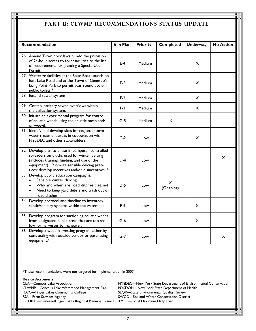# **Part b: CLWMP recommendations status update**

| <b>Recommendation</b> |                                                                                                                                                                                                                                                   | # in Plan | <b>Priority</b> | <b>Completed</b> | <b>Underway</b> | <b>No Action</b> |
|-----------------------|---------------------------------------------------------------------------------------------------------------------------------------------------------------------------------------------------------------------------------------------------|-----------|-----------------|------------------|-----------------|------------------|
|                       | 26. Amend Town dock laws to add the provision<br>of 24-hour access to toilet facilities to the list<br>of requirements for granting a Special Use<br>Permit.                                                                                      | $E-4$     | Medium          |                  | $\times$        |                  |
|                       | 27. Winterize facilities at the State Boat Launch on<br>East Lake Road and at the Town of Geneseo's<br>Long Point Park to permit year-round use of<br>public toilets.*                                                                            | $E-5$     | Medium          |                  | $\times$        |                  |
|                       | 28. Extend sewer system                                                                                                                                                                                                                           | $F-2$     | Medium          |                  | X               |                  |
|                       | 29. Control sanitary sewer overflows within<br>the collection system.                                                                                                                                                                             | $F-3$     | Medium          |                  | X               |                  |
|                       | 30. Initiate an experimental program for control<br>of aquatic weeds using the aquatic moth and/<br>or weevil.                                                                                                                                    | $G-5$     | Medium          | X                |                 |                  |
|                       | 31. Identify and develop sites for regional storm-<br>water treatment areas in cooperation with<br>NYSDEC and other stakeholders.                                                                                                                 | $C-2$     | Low             |                  | $\times$        |                  |
|                       | 32. Develop plan to phase-in computer-controlled<br>spreaders on trucks used for winter deicing<br>(includes training, funding, and use of the<br>equipment). Promote sensible deicing prac-<br>tices: develop incentives and/or disincentives. * | $D-4$     | Low             |                  |                 | X                |
|                       | 33. Develop public education campaigns:<br>Sensible winter driving<br>Why and when are road ditches cleaned<br>Need to keep yard debris and trash out of<br>road ditches                                                                          | $D-5$     | Low             | X<br>(Ongoing)   |                 |                  |
|                       | 34. Develop protocol and timeline to inventory<br>septic/sanitary systems within the watershed.                                                                                                                                                   | $F-4$     | Low             |                  | X               |                  |
|                       | 35. Develop program for suctioning aquatic weeds<br>from designated public areas that are too shal-<br>low for harvester to maneuver.                                                                                                             | $G-6$     | Low             |                  | $\times$        |                  |
|                       | 36. Develop a weed harvesting program either by<br>contracting with outside vendor or purchasing<br>equipment.*                                                                                                                                   | $G-7$     | Low             |                  |                 | X                |

\*These recommendations were not targeted for implementation in 2007

#### **Key to Acronyms**

CLA—Conesus Lake Association NYSDEC—New York State Department of Environmental Conservation CLWMP—Conesus Lake Watershed Management Plan NYSDOH—New York State Department of Health FLCC—Finger Lakes Community College SEQR—State Environmental Quality Review FSA—Farm Services Agency **SWCD—Soil and Water Conservation District** G/FLRPC—Genesee/Finger Lakes Regional Planning Council TMDL—Total Maximum Daily Load